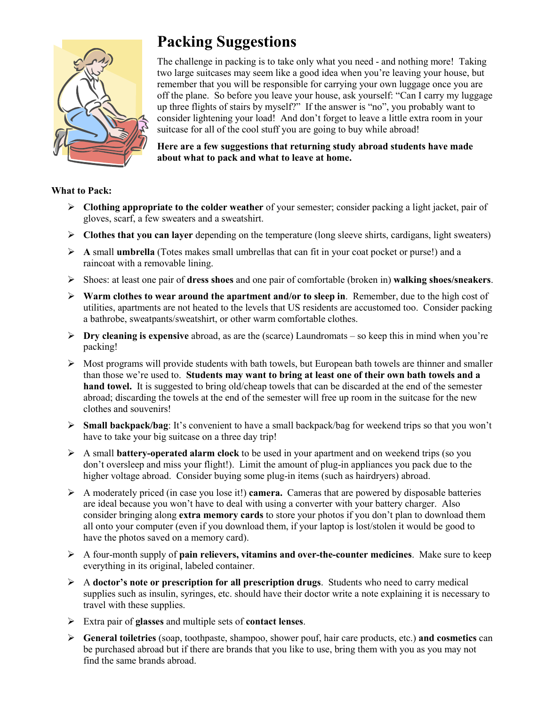

## **Packing Suggestions**

The challenge in packing is to take only what you need - and nothing more! Taking two large suitcases may seem like a good idea when you're leaving your house, but remember that you will be responsible for carrying your own luggage once you are off the plane. So before you leave your house, ask yourself: "Can I carry my luggage up three flights of stairs by myself?" If the answer is "no", you probably want to consider lightening your load! And don't forget to leave a little extra room in your suitcase for all of the cool stuff you are going to buy while abroad!

**Here are a few suggestions that returning study abroad students have made about what to pack and what to leave at home.**

## **What to Pack:**

- ¾ **Clothing appropriate to the colder weather** of your semester; consider packing a light jacket, pair of gloves, scarf, a few sweaters and a sweatshirt.
- ¾ **Clothes that you can layer** depending on the temperature (long sleeve shirts, cardigans, light sweaters)
- ¾ **A** small **umbrella** (Totes makes small umbrellas that can fit in your coat pocket or purse!) and a raincoat with a removable lining.
- ¾ Shoes: at least one pair of **dress shoes** and one pair of comfortable (broken in) **walking shoes/sneakers**.
- $\triangleright$  **Warm clothes to wear around the apartment and/or to sleep in**. Remember, due to the high cost of utilities, apartments are not heated to the levels that US residents are accustomed too. Consider packing a bathrobe, sweatpants/sweatshirt, or other warm comfortable clothes.
- ¾ **Dry cleaning is expensive** abroad, as are the (scarce) Laundromats so keep this in mind when you're packing!
- $\triangleright$  Most programs will provide students with bath towels, but European bath towels are thinner and smaller than those we're used to. **Students may want to bring at least one of their own bath towels and a hand towel.** It is suggested to bring old/cheap towels that can be discarded at the end of the semester abroad; discarding the towels at the end of the semester will free up room in the suitcase for the new clothes and souvenirs!
- ¾ **Small backpack/bag**: It's convenient to have a small backpack/bag for weekend trips so that you won't have to take your big suitcase on a three day trip!
- ¾ A small **battery-operated alarm clock** to be used in your apartment and on weekend trips (so you don't oversleep and miss your flight!). Limit the amount of plug-in appliances you pack due to the higher voltage abroad. Consider buying some plug-in items (such as hairdryers) abroad.
- $\triangleright$  A moderately priced (in case you lose it!) **camera.** Cameras that are powered by disposable batteries are ideal because you won't have to deal with using a converter with your battery charger. Also consider bringing along **extra memory cards** to store your photos if you don't plan to download them all onto your computer (even if you download them, if your laptop is lost/stolen it would be good to have the photos saved on a memory card).
- ¾ A four-month supply of **pain relievers, vitamins and over-the-counter medicines**. Make sure to keep everything in its original, labeled container.
- ¾ A **doctor's note or prescription for all prescription drugs**. Students who need to carry medical supplies such as insulin, syringes, etc. should have their doctor write a note explaining it is necessary to travel with these supplies.
- ¾ Extra pair of **glasses** and multiple sets of **contact lenses**.
- ¾ **General toiletries** (soap, toothpaste, shampoo, shower pouf, hair care products, etc.) **and cosmetics** can be purchased abroad but if there are brands that you like to use, bring them with you as you may not find the same brands abroad.